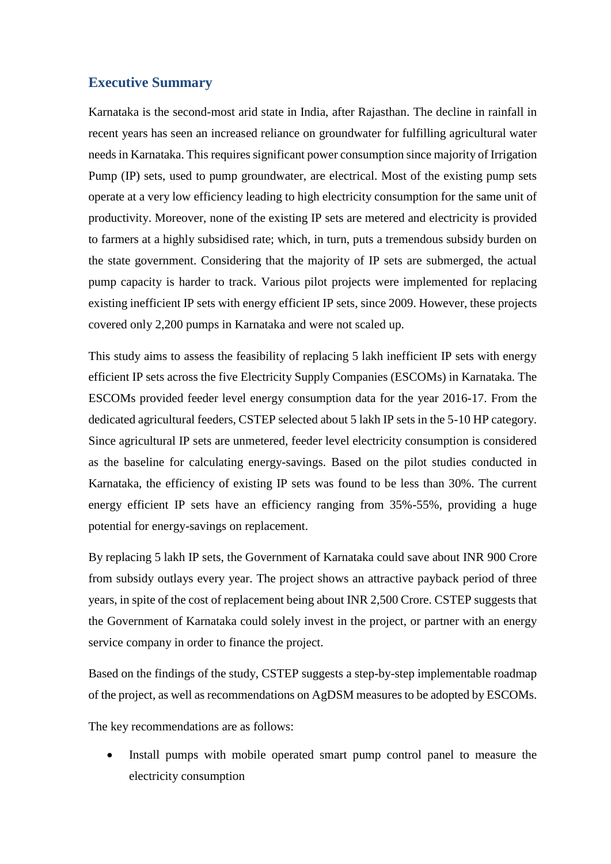## **Executive Summary**

Karnataka is the second-most arid state in India, after Rajasthan. The decline in rainfall in recent years has seen an increased reliance on groundwater for fulfilling agricultural water needs in Karnataka. This requires significant power consumption since majority of Irrigation Pump (IP) sets, used to pump groundwater, are electrical. Most of the existing pump sets operate at a very low efficiency leading to high electricity consumption for the same unit of productivity. Moreover, none of the existing IP sets are metered and electricity is provided to farmers at a highly subsidised rate; which, in turn, puts a tremendous subsidy burden on the state government. Considering that the majority of IP sets are submerged, the actual pump capacity is harder to track. Various pilot projects were implemented for replacing existing inefficient IP sets with energy efficient IP sets, since 2009. However, these projects covered only 2,200 pumps in Karnataka and were not scaled up.

This study aims to assess the feasibility of replacing 5 lakh inefficient IP sets with energy efficient IP sets across the five Electricity Supply Companies (ESCOMs) in Karnataka. The ESCOMs provided feeder level energy consumption data for the year 2016-17. From the dedicated agricultural feeders, CSTEP selected about 5 lakh IP sets in the 5-10 HP category. Since agricultural IP sets are unmetered, feeder level electricity consumption is considered as the baseline for calculating energy-savings. Based on the pilot studies conducted in Karnataka, the efficiency of existing IP sets was found to be less than 30%. The current energy efficient IP sets have an efficiency ranging from 35%-55%, providing a huge potential for energy-savings on replacement.

By replacing 5 lakh IP sets, the Government of Karnataka could save about INR 900 Crore from subsidy outlays every year. The project shows an attractive payback period of three years, in spite of the cost of replacement being about INR 2,500 Crore. CSTEP suggests that the Government of Karnataka could solely invest in the project, or partner with an energy service company in order to finance the project.

Based on the findings of the study, CSTEP suggests a step-by-step implementable roadmap of the project, as well as recommendations on AgDSM measures to be adopted by ESCOMs.

The key recommendations are as follows:

• Install pumps with mobile operated smart pump control panel to measure the electricity consumption